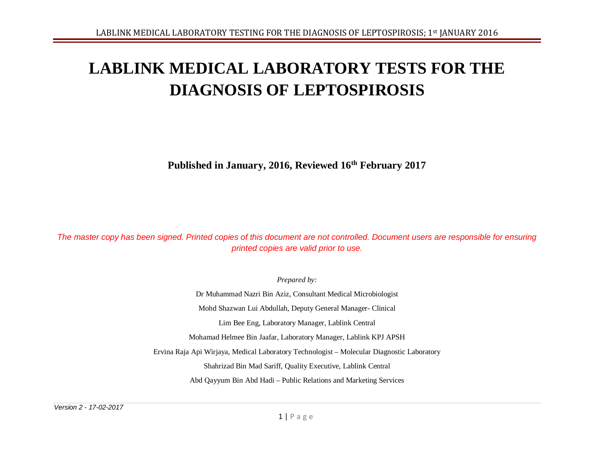# **LABLINK MEDICAL LABORATORY TESTS FOR THE DIAGNOSIS OF LEPTOSPIROSIS**

**Published in January, 2016, Reviewed 16th February 2017**

*The master copy has been signed. Printed copies of this document are not controlled. Document users are responsible for ensuring printed copies are valid prior to use.*

*Prepared by:*

Dr Muhammad Nazri Bin Aziz, Consultant Medical Microbiologist Mohd Shazwan Lui Abdullah, Deputy General Manager- Clinical Lim Bee Eng, Laboratory Manager, Lablink Central Mohamad Helmee Bin Jaafar, Laboratory Manager, Lablink KPJ APSH Ervina Raja Api Wirjaya, Medical Laboratory Technologist – Molecular Diagnostic Laboratory Shahrizad Bin Mad Sariff, Quality Executive, Lablink Central Abd Qayyum Bin Abd Hadi – Public Relations and Marketing Services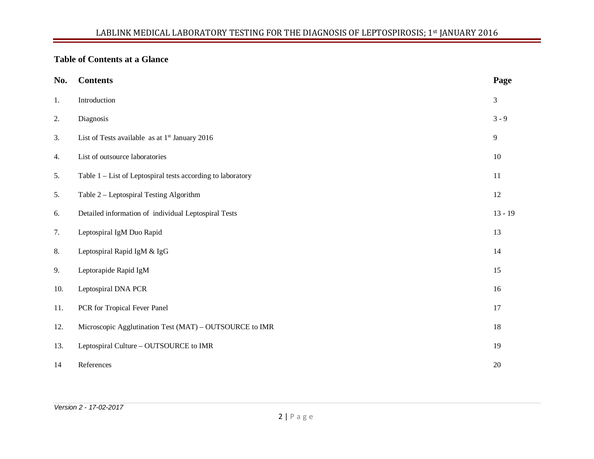# **Table of Contents at a Glance**

| No. | <b>Contents</b>                                             | Page           |
|-----|-------------------------------------------------------------|----------------|
| 1.  | Introduction                                                | 3              |
| 2.  | Diagnosis                                                   | $3 - 9$        |
| 3.  | List of Tests available as at 1 <sup>st</sup> January 2016  | $\overline{9}$ |
| 4.  | List of outsource laboratories                              | 10             |
| 5.  | Table 1 – List of Leptospiral tests according to laboratory | $11\,$         |
| 5.  | Table 2 - Leptospiral Testing Algorithm                     | 12             |
| 6.  | Detailed information of individual Leptospiral Tests        | $13 - 19$      |
| 7.  | Leptospiral IgM Duo Rapid                                   | 13             |
| 8.  | Leptospiral Rapid IgM & IgG                                 | 14             |
| 9.  | Leptorapide Rapid IgM                                       | 15             |
| 10. | Leptospiral DNA PCR                                         | 16             |
| 11. | PCR for Tropical Fever Panel                                | 17             |
| 12. | Microscopic Agglutination Test (MAT) – OUTSOURCE to IMR     | 18             |
| 13. | Leptospiral Culture - OUTSOURCE to IMR                      | 19             |
| 14  | References                                                  | 20             |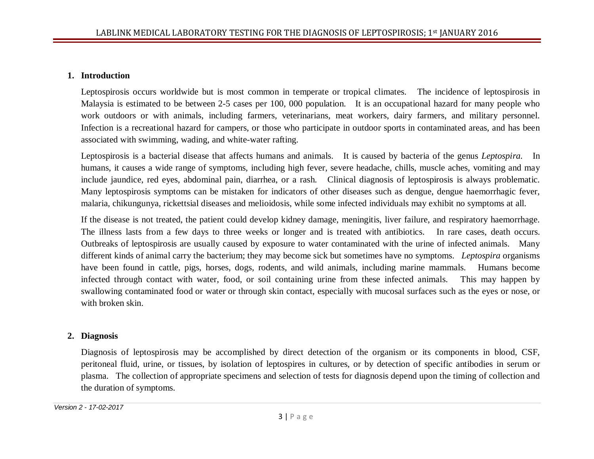#### **1. Introduction**

Leptospirosis occurs worldwide but is most common in temperate or tropical climates. The incidence of leptospirosis in Malaysia is estimated to be between 2-5 cases per 100, 000 population. It is an occupational hazard for many people who work outdoors or with animals, including farmers, veterinarians, meat workers, dairy farmers, and military personnel. Infection is a recreational hazard for campers, or those who participate in outdoor sports in contaminated areas, and has been associated with swimming, wading, and white-water rafting.

Leptospirosis is a bacterial disease that affects humans and animals. It is caused by bacteria of the genus *Leptospira.* In humans, it causes a wide range of symptoms, including high fever, severe headache, chills, muscle aches, vomiting and may include jaundice, red eyes, abdominal pain, diarrhea, or a rash. Clinical diagnosis of leptospirosis is always problematic. Many leptospirosis symptoms can be mistaken for indicators of other diseases such as dengue, dengue haemorrhagic fever, malaria, chikungunya, rickettsial diseases and melioidosis, while some infected individuals may exhibit no symptoms at all.

If the disease is not treated, the patient could develop kidney damage, meningitis, liver failure, and respiratory haemorrhage. The illness lasts from a few days to three weeks or longer and is treated with antibiotics. In rare cases, death occurs. Outbreaks of leptospirosis are usually caused by exposure to water contaminated with the urine of infected animals. Many different kinds of animal carry the bacterium; they may become sick but sometimes have no symptoms. *Leptospira* organisms have been found in cattle, pigs, horses, dogs, rodents, and wild animals, including marine mammals. Humans become infected through contact with water, food, or soil containing urine from these infected animals. This may happen by swallowing contaminated food or water or through skin contact, especially with mucosal surfaces such as the eyes or nose, or with broken skin.

#### **2. Diagnosis**

Diagnosis of leptospirosis may be accomplished by direct detection of the organism or its components in blood, CSF, peritoneal fluid, urine, or tissues, by isolation of leptospires in cultures, or by detection of specific antibodies in serum or plasma. The collection of appropriate specimens and selection of tests for diagnosis depend upon the timing of collection and the duration of symptoms.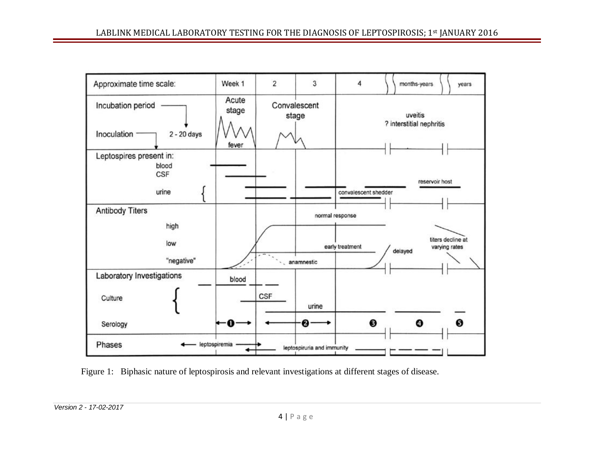

Figure 1: Biphasic nature of leptospirosis and relevant investigations at different stages of disease.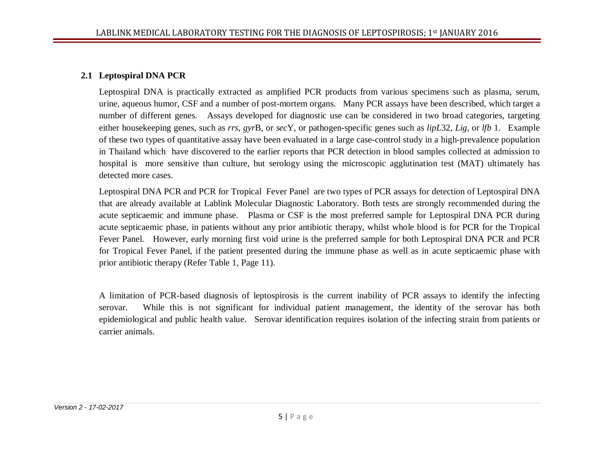#### **2.1 Leptospiral DNA PCR**

Leptospiral DNA is practically extracted as amplified PCR products from various specimens such as plasma, serum, urine, aqueous humor, CSF and a number of post-mortem organs. Many PCR assays have been described, which target a number of different genes. Assays developed for diagnostic use can be considered in two broad categories, targeting either housekeeping genes, such as *rrs, gyr*B*,* or *sec*Y, or pathogen-specific genes such as *lipL*32, *Lig*, or *lfb* 1. Example of these two types of quantitative assay have been evaluated in a large case-control study in a high-prevalence population in Thailand which have discovered to the earlier reports that PCR detection in blood samples collected at admission to hospital is more sensitive than culture, but serology using the microscopic agglutination test (MAT) ultimately has detected more cases.

Leptospiral DNA PCR and PCR for Tropical Fever Panel are two types of PCR assays for detection of Leptospiral DNA that are already available at Lablink Molecular Diagnostic Laboratory. Both tests are strongly recommended during the acute septicaemic and immune phase. Plasma or CSF is the most preferred sample for Leptospiral DNA PCR during acute septicaemic phase, in patients without any prior antibiotic therapy, whilst whole blood is for PCR for the Tropical Fever Panel. However, early morning first void urine is the preferred sample for both Leptospiral DNA PCR and PCR for Tropical Fever Panel, if the patient presented during the immune phase as well as in acute septicaemic phase with prior antibiotic therapy (Refer Table 1, Page 11).

A limitation of PCR-based diagnosis of leptospirosis is the current inability of PCR assays to identify the infecting serovar. While this is not significant for individual patient management, the identity of the serovar has both epidemiological and public health value. Serovar identification requires isolation of the infecting strain from patients or carrier animals.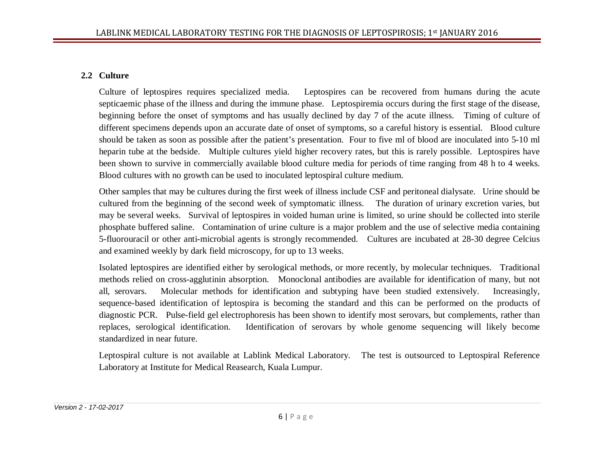## **2.2 Culture**

Culture of leptospires requires specialized media. Leptospires can be recovered from humans during the acute septicaemic phase of the illness and during the immune phase. Leptospiremia occurs during the first stage of the disease, beginning before the onset of symptoms and has usually declined by day 7 of the acute illness. Timing of culture of different specimens depends upon an accurate date of onset of symptoms, so a careful history is essential. Blood culture should be taken as soon as possible after the patient's presentation. Four to five ml of blood are inoculated into 5-10 ml heparin tube at the bedside. Multiple cultures yield higher recovery rates, but this is rarely possible. Leptospires have been shown to survive in commercially available blood culture media for periods of time ranging from 48 h to 4 weeks. Blood cultures with no growth can be used to inoculated leptospiral culture medium.

Other samples that may be cultures during the first week of illness include CSF and peritoneal dialysate. Urine should be cultured from the beginning of the second week of symptomatic illness. The duration of urinary excretion varies, but may be several weeks. Survival of leptospires in voided human urine is limited, so urine should be collected into sterile phosphate buffered saline. Contamination of urine culture is a major problem and the use of selective media containing 5-fluorouracil or other anti-microbial agents is strongly recommended. Cultures are incubated at 28-30 degree Celcius and examined weekly by dark field microscopy, for up to 13 weeks.

Isolated leptospires are identified either by serological methods, or more recently, by molecular techniques. Traditional methods relied on cross-agglutinin absorption. Monoclonal antibodies are available for identification of many, but not all, serovars. Molecular methods for identification and subtyping have been studied extensively. Increasingly, sequence-based identification of leptospira is becoming the standard and this can be performed on the products of diagnostic PCR. Pulse-field gel electrophoresis has been shown to identify most serovars, but complements, rather than replaces, serological identification. Identification of serovars by whole genome sequencing will likely become standardized in near future.

Leptospiral culture is not available at Lablink Medical Laboratory. The test is outsourced to Leptospiral Reference Laboratory at Institute for Medical Reasearch, Kuala Lumpur.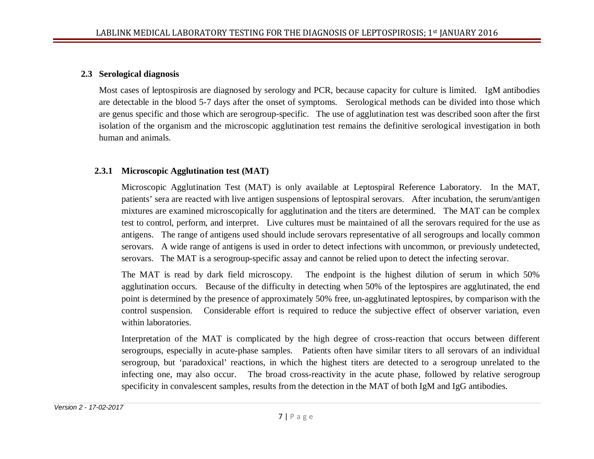#### **2.3 Serological diagnosis**

Most cases of leptospirosis are diagnosed by serology and PCR, because capacity for culture is limited. IgM antibodies are detectable in the blood 5-7 days after the onset of symptoms. Serological methods can be divided into those which are genus specific and those which are serogroup-specific. The use of agglutination test was described soon after the first isolation of the organism and the microscopic agglutination test remains the definitive serological investigation in both human and animals.

## **2.3.1 Microscopic Agglutination test (MAT)**

Microscopic Agglutination Test (MAT) is only available at Leptospiral Reference Laboratory. In the MAT, patients' sera are reacted with live antigen suspensions of leptospiral serovars. After incubation, the serum/antigen mixtures are examined microscopically for agglutination and the titers are determined. The MAT can be complex test to control, perform, and interpret. Live cultures must be maintained of all the serovars required for the use as antigens. The range of antigens used should include serovars representative of all serogroups and locally common serovars. A wide range of antigens is used in order to detect infections with uncommon, or previously undetected, serovars. The MAT is a serogroup-specific assay and cannot be relied upon to detect the infecting serovar.

The MAT is read by dark field microscopy. The endpoint is the highest dilution of serum in which 50% agglutination occurs. Because of the difficulty in detecting when 50% of the leptospires are agglutinated, the end point is determined by the presence of approximately 50% free, un-agglutinated leptospires, by comparison with the control suspension. Considerable effort is required to reduce the subjective effect of observer variation, even within laboratories.

Interpretation of the MAT is complicated by the high degree of cross-reaction that occurs between different serogroups, especially in acute-phase samples. Patients often have similar titers to all serovars of an individual serogroup, but 'paradoxical' reactions, in which the highest titers are detected to a serogroup unrelated to the infecting one, may also occur. The broad cross-reactivity in the acute phase, followed by relative serogroup specificity in convalescent samples, results from the detection in the MAT of both IgM and IgG antibodies.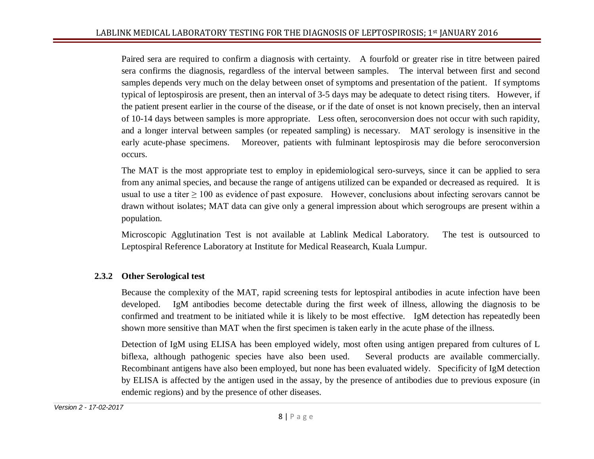Paired sera are required to confirm a diagnosis with certainty. A fourfold or greater rise in titre between paired sera confirms the diagnosis, regardless of the interval between samples. The interval between first and second samples depends very much on the delay between onset of symptoms and presentation of the patient. If symptoms typical of leptospirosis are present, then an interval of 3-5 days may be adequate to detect rising titers. However, if the patient present earlier in the course of the disease, or if the date of onset is not known precisely, then an interval of 10-14 days between samples is more appropriate. Less often, seroconversion does not occur with such rapidity, and a longer interval between samples (or repeated sampling) is necessary. MAT serology is insensitive in the early acute-phase specimens. Moreover, patients with fulminant leptospirosis may die before seroconversion occurs.

The MAT is the most appropriate test to employ in epidemiological sero-surveys, since it can be applied to sera from any animal species, and because the range of antigens utilized can be expanded or decreased as required. It is usual to use a titer  $\geq 100$  as evidence of past exposure. However, conclusions about infecting serovars cannot be drawn without isolates; MAT data can give only a general impression about which serogroups are present within a population.

Microscopic Agglutination Test is not available at Lablink Medical Laboratory. The test is outsourced to Leptospiral Reference Laboratory at Institute for Medical Reasearch, Kuala Lumpur.

## **2.3.2 Other Serological test**

Because the complexity of the MAT, rapid screening tests for leptospiral antibodies in acute infection have been developed. IgM antibodies become detectable during the first week of illness, allowing the diagnosis to be confirmed and treatment to be initiated while it is likely to be most effective. IgM detection has repeatedly been shown more sensitive than MAT when the first specimen is taken early in the acute phase of the illness.

Detection of IgM using ELISA has been employed widely, most often using antigen prepared from cultures of L biflexa, although pathogenic species have also been used. Several products are available commercially. Recombinant antigens have also been employed, but none has been evaluated widely. Specificity of IgM detection by ELISA is affected by the antigen used in the assay, by the presence of antibodies due to previous exposure (in endemic regions) and by the presence of other diseases.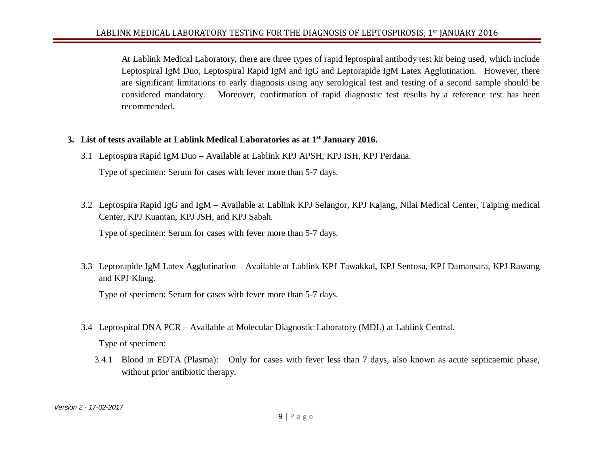At Lablink Medical Laboratory, there are three types of rapid leptospiral antibody test kit being used, which include Leptospiral IgM Duo, Leptospiral Rapid IgM and IgG and Leptorapide IgM Latex Agglutination. However, there are significant limitations to early diagnosis using any serological test and testing of a second sample should be considered mandatory. Moreover, confirmation of rapid diagnostic test results by a reference test has been recommended.

- **3. List of tests available at Lablink Medical Laboratories as at 1st January 2016.**
	- 3.1 Leptospira Rapid IgM Duo Available at Lablink KPJ APSH, KPJ ISH, KPJ Perdana.

Type of specimen: Serum for cases with fever more than 5-7 days.

3.2 Leptospira Rapid IgG and IgM – Available at Lablink KPJ Selangor, KPJ Kajang, Nilai Medical Center, Taiping medical Center, KPJ Kuantan, KPJ JSH, and KPJ Sabah.

Type of specimen: Serum for cases with fever more than 5-7 days.

3.3 Leptorapide IgM Latex Agglutination – Available at Lablink KPJ Tawakkal, KPJ Sentosa, KPJ Damansara, KPJ Rawang and KPJ Klang.

Type of specimen: Serum for cases with fever more than 5-7 days.

3.4 Leptospiral DNA PCR – Available at Molecular Diagnostic Laboratory (MDL) at Lablink Central.

Type of specimen:

3.4.1 Blood in EDTA (Plasma): Only for cases with fever less than 7 days, also known as acute septicaemic phase, without prior antibiotic therapy.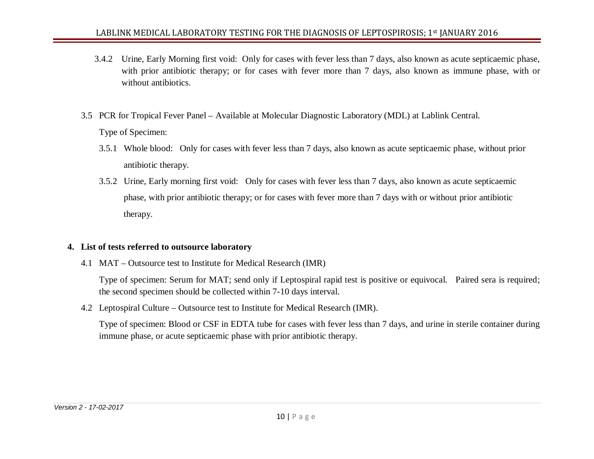- 3.4.2 Urine, Early Morning first void: Only for cases with fever less than 7 days, also known as acute septicaemic phase, with prior antibiotic therapy; or for cases with fever more than 7 days, also known as immune phase, with or without antibiotics.
- 3.5 PCR for Tropical Fever Panel Available at Molecular Diagnostic Laboratory (MDL) at Lablink Central. Type of Specimen:
	- 3.5.1 Whole blood: Only for cases with fever less than 7 days, also known as acute septicaemic phase, without prior antibiotic therapy.
	- 3.5.2 Urine, Early morning first void: Only for cases with fever less than 7 days, also known as acute septicaemic phase, with prior antibiotic therapy; or for cases with fever more than 7 days with or without prior antibiotic therapy.

#### **4. List of tests referred to outsource laboratory**

4.1 MAT – Outsource test to Institute for Medical Research (IMR)

Type of specimen: Serum for MAT; send only if Leptospiral rapid test is positive or equivocal. Paired sera is required; the second specimen should be collected within 7-10 days interval.

4.2 Leptospiral Culture – Outsource test to Institute for Medical Research (IMR).

Type of specimen: Blood or CSF in EDTA tube for cases with fever less than 7 days, and urine in sterile container during immune phase, or acute septicaemic phase with prior antibiotic therapy.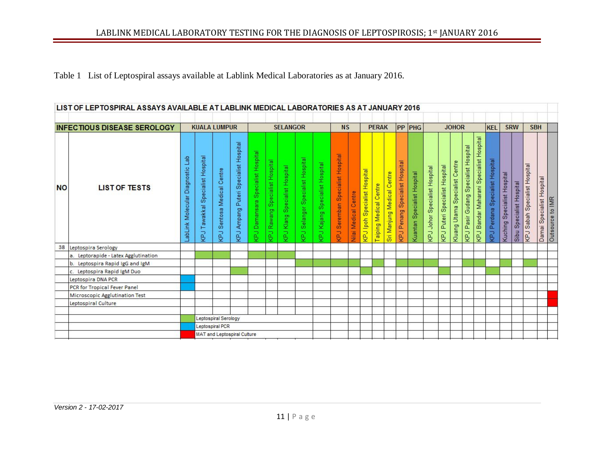Table 1 List of Leptospiral assays available at Lablink Medical Laboratories as at January 2016.

|           | LIST OF LEPTOSPIRAL ASSAYS AVAILABLE AT LABLINK MEDICAL LABORATORIES AS AT JANUARY 2016 |                                        |                                               |                                     |                                          |                                                |                                       |                                         |                                                           |                                             |                                         |                      |                                     |                                  |                                      |                                          |                                |                                  |                                                |                                             |                                      |                                                      |                                      |                                   |                                |                                  |                           |                  |
|-----------|-----------------------------------------------------------------------------------------|----------------------------------------|-----------------------------------------------|-------------------------------------|------------------------------------------|------------------------------------------------|---------------------------------------|-----------------------------------------|-----------------------------------------------------------|---------------------------------------------|-----------------------------------------|----------------------|-------------------------------------|----------------------------------|--------------------------------------|------------------------------------------|--------------------------------|----------------------------------|------------------------------------------------|---------------------------------------------|--------------------------------------|------------------------------------------------------|--------------------------------------|-----------------------------------|--------------------------------|----------------------------------|---------------------------|------------------|
|           | <b>INFECTIOUS DISEASE SEROLOGY</b>                                                      |                                        |                                               | <b>KUALA LUMPUR</b>                 |                                          | <b>SELANGOR</b>                                |                                       | <b>NS</b><br><b>PERAK</b>               |                                                           |                                             |                                         | PP PHG               | <b>JOHOR</b>                        |                                  |                                      | <b>SRW</b><br><b>KEL</b>                 |                                | <b>SBH</b>                       |                                                |                                             |                                      |                                                      |                                      |                                   |                                |                                  |                           |                  |
| <b>NO</b> | <b>LIST OF TESTS</b>                                                                    | de⊔<br>Molecular Diagnostic<br>LabLink | Specialist Hospital<br>Tawakkal<br><b>KPJ</b> | Centre<br>Medical<br>Sentosa<br>KPJ | Puteri Specialist Hospital<br>RPJ Ampang | Specialist Hospital<br>Damansara<br><b>Lay</b> | <b>KPJ Rawang Specialist Hospital</b> | Specialist Hospital<br><b>KPJ Klang</b> | Specialist Hospital<br>Selangor <sup>5</sup><br><b>La</b> | Specialist Hospital<br>Kajang<br><b>LaN</b> | <b>KPJ</b> Seremban Specialist Hospital | Nilai Medical Centre | <b>KPJ</b> Ipoh Specialist Hospital | Centre<br><b>Taiping Medical</b> | entre<br>Ō<br>Medical<br>Sri Manjung | Specialist Hospital<br><b>KPJ</b> Penang | Specialist Hospital<br>Kuantan | Specialist Hospital<br>KPJ Johor | Hospital<br>Specialist<br>Puteri<br><b>LaX</b> | Centre<br>cialist<br>Spe<br>Utama<br>Kluang | KPJ Pasir Gudang Specialist Hospital | Hospital<br>Specialist<br><b>KPJ</b> Bandar Maharani | Specialist Hospital<br>Perdana<br>Fd | Hospital<br>Specialist<br>Kuching | Hospital<br>Specialist<br>Sibu | Sabah Specialist Hospital<br>KPJ | Damai Specialist Hospital | Outsource to IMR |
| 38        | Leptospira Serology                                                                     |                                        |                                               |                                     |                                          |                                                |                                       |                                         |                                                           |                                             |                                         |                      |                                     |                                  |                                      |                                          |                                |                                  |                                                |                                             |                                      |                                                      |                                      |                                   |                                |                                  |                           |                  |
|           | a. Leptorapide - Latex Agglutination                                                    |                                        |                                               |                                     |                                          |                                                |                                       |                                         |                                                           |                                             |                                         |                      |                                     |                                  |                                      |                                          |                                |                                  |                                                |                                             |                                      |                                                      |                                      |                                   |                                |                                  |                           |                  |
|           | b.<br>Leptospira Rapid IgG and IgM                                                      |                                        |                                               |                                     |                                          |                                                |                                       |                                         |                                                           |                                             |                                         |                      |                                     |                                  |                                      |                                          |                                |                                  |                                                |                                             |                                      |                                                      |                                      |                                   |                                |                                  |                           |                  |
|           | Leptospira Rapid IgM Duo<br>C.                                                          |                                        |                                               |                                     |                                          |                                                |                                       |                                         |                                                           |                                             |                                         |                      |                                     |                                  |                                      |                                          |                                |                                  |                                                |                                             |                                      |                                                      |                                      |                                   |                                |                                  |                           |                  |
|           | Leptospira DNA PCR                                                                      |                                        |                                               |                                     |                                          |                                                |                                       |                                         |                                                           |                                             |                                         |                      |                                     |                                  |                                      |                                          |                                |                                  |                                                |                                             |                                      |                                                      |                                      |                                   |                                |                                  |                           |                  |
|           | <b>PCR</b> for Tropical Fever Panel                                                     |                                        |                                               |                                     |                                          |                                                |                                       |                                         |                                                           |                                             |                                         |                      |                                     |                                  |                                      |                                          |                                |                                  |                                                |                                             |                                      |                                                      |                                      |                                   |                                |                                  |                           |                  |
|           | Microscopic Agglutination Test                                                          |                                        |                                               |                                     |                                          |                                                |                                       |                                         |                                                           |                                             |                                         |                      |                                     |                                  |                                      |                                          |                                |                                  |                                                |                                             |                                      |                                                      |                                      |                                   |                                |                                  |                           |                  |
|           | Leptospiral Culture                                                                     |                                        |                                               |                                     |                                          |                                                |                                       |                                         |                                                           |                                             |                                         |                      |                                     |                                  |                                      |                                          |                                |                                  |                                                |                                             |                                      |                                                      |                                      |                                   |                                |                                  |                           |                  |
|           |                                                                                         |                                        |                                               |                                     |                                          |                                                |                                       |                                         |                                                           |                                             |                                         |                      |                                     |                                  |                                      |                                          |                                |                                  |                                                |                                             |                                      |                                                      |                                      |                                   |                                |                                  |                           |                  |
|           |                                                                                         |                                        |                                               | Leptospiral Serology                |                                          |                                                |                                       |                                         |                                                           |                                             |                                         |                      |                                     |                                  |                                      |                                          |                                |                                  |                                                |                                             |                                      |                                                      |                                      |                                   |                                |                                  |                           |                  |
|           |                                                                                         |                                        |                                               | Leptospiral PCR                     |                                          |                                                |                                       |                                         |                                                           |                                             |                                         |                      |                                     |                                  |                                      |                                          |                                |                                  |                                                |                                             |                                      |                                                      |                                      |                                   |                                |                                  |                           |                  |
|           |                                                                                         |                                        |                                               |                                     | MAT and Leptospiral Culture              |                                                |                                       |                                         |                                                           |                                             |                                         |                      |                                     |                                  |                                      |                                          |                                |                                  |                                                |                                             |                                      |                                                      |                                      |                                   |                                |                                  |                           |                  |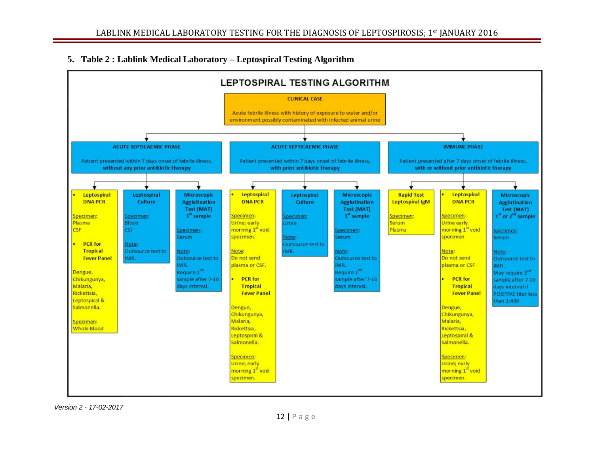## **5. Table 2 : Lablink Medical Laboratory – Leptospiral Testing Algorithm**



*Version 2 - 17-02-2017*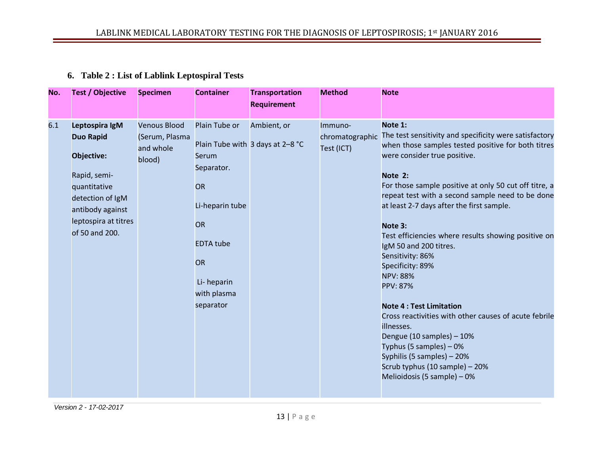## **6. Table 2 : List of Lablink Leptospiral Tests**

| No. | <b>Test / Objective</b>                                                                                                                                            | <b>Specimen</b>                                              | <b>Container</b>                                                                                                                                             | <b>Transportation</b><br><b>Requirement</b>     | <b>Method</b>                            | <b>Note</b>                                                                                                                                                                                                                                                                                                                                                                                                                                                                                                                                                                                                                                                                                                                                                            |
|-----|--------------------------------------------------------------------------------------------------------------------------------------------------------------------|--------------------------------------------------------------|--------------------------------------------------------------------------------------------------------------------------------------------------------------|-------------------------------------------------|------------------------------------------|------------------------------------------------------------------------------------------------------------------------------------------------------------------------------------------------------------------------------------------------------------------------------------------------------------------------------------------------------------------------------------------------------------------------------------------------------------------------------------------------------------------------------------------------------------------------------------------------------------------------------------------------------------------------------------------------------------------------------------------------------------------------|
| 6.1 | Leptospira IgM<br><b>Duo Rapid</b><br>Objective:<br>Rapid, semi-<br>quantitative<br>detection of IgM<br>antibody against<br>leptospira at titres<br>of 50 and 200. | <b>Venous Blood</b><br>(Serum, Plasma<br>and whole<br>blood) | Plain Tube or<br>Serum<br>Separator.<br><b>OR</b><br>Li-heparin tube<br><b>OR</b><br><b>EDTA</b> tube<br><b>OR</b><br>Li-heparin<br>with plasma<br>separator | Ambient, or<br>Plain Tube with 3 days at 2-8 °C | Immuno-<br>chromatographic<br>Test (ICT) | Note 1:<br>The test sensitivity and specificity were satisfactory<br>when those samples tested positive for both titres<br>were consider true positive.<br>Note 2:<br>For those sample positive at only 50 cut off titre, a<br>repeat test with a second sample need to be done<br>at least 2-7 days after the first sample.<br>Note 3:<br>Test efficiencies where results showing positive on<br>IgM 50 and 200 titres.<br>Sensitivity: 86%<br>Specificity: 89%<br><b>NPV: 88%</b><br><b>PPV: 87%</b><br><b>Note 4: Test Limitation</b><br>Cross reactivities with other causes of acute febrile<br>illnesses.<br>Dengue (10 samples) - 10%<br>Typhus (5 samples) - 0%<br>Syphilis (5 samples) - 20%<br>Scrub typhus (10 sample) - 20%<br>Melioidosis (5 sample) - 0% |

*Version 2 - 17-02-2017*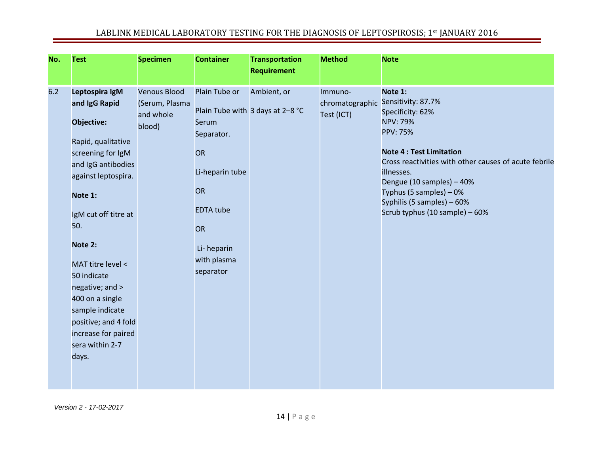| No. | <b>Test</b>                                                                                                                                                                                                                                                                                                                                                        | <b>Specimen</b>                                              | <b>Container</b>                                                                                                                                      | <b>Transportation</b><br><b>Requirement</b>     | <b>Method</b>                            | <b>Note</b>                                                                                                                                                                                                                                                                                                              |
|-----|--------------------------------------------------------------------------------------------------------------------------------------------------------------------------------------------------------------------------------------------------------------------------------------------------------------------------------------------------------------------|--------------------------------------------------------------|-------------------------------------------------------------------------------------------------------------------------------------------------------|-------------------------------------------------|------------------------------------------|--------------------------------------------------------------------------------------------------------------------------------------------------------------------------------------------------------------------------------------------------------------------------------------------------------------------------|
| 6.2 | Leptospira IgM<br>and IgG Rapid<br>Objective:<br>Rapid, qualitative<br>screening for IgM<br>and IgG antibodies<br>against leptospira.<br>Note 1:<br>IgM cut off titre at<br>50.<br>Note 2:<br>MAT titre level <<br>50 indicate<br>negative; and ><br>400 on a single<br>sample indicate<br>positive; and 4 fold<br>increase for paired<br>sera within 2-7<br>days. | <b>Venous Blood</b><br>(Serum, Plasma<br>and whole<br>blood) | Plain Tube or<br>Serum<br>Separator.<br>OR<br>Li-heparin tube<br><b>OR</b><br><b>EDTA</b> tube<br><b>OR</b><br>Li-heparin<br>with plasma<br>separator | Ambient, or<br>Plain Tube with 3 days at 2-8 °C | Immuno-<br>chromatographic<br>Test (ICT) | Note 1:<br>Sensitivity: 87.7%<br>Specificity: 62%<br><b>NPV: 79%</b><br><b>PPV: 75%</b><br><b>Note 4: Test Limitation</b><br>Cross reactivities with other causes of acute febrile<br>illnesses.<br>Dengue (10 samples) - 40%<br>Typhus (5 samples) - 0%<br>Syphilis (5 samples) - 60%<br>Scrub typhus (10 sample) - 60% |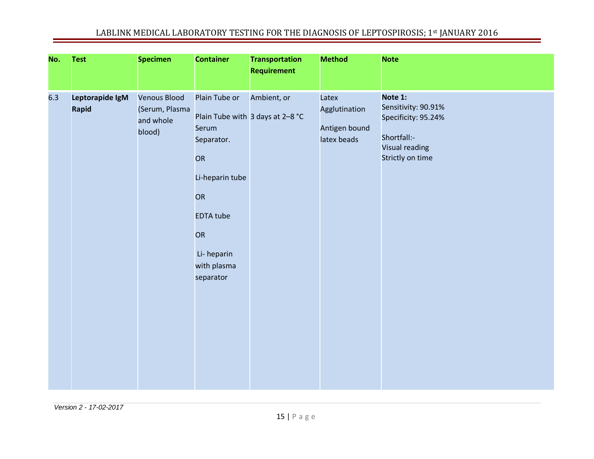| No. | <b>Test</b>              | <b>Specimen</b>                                              | <b>Container</b>                                                                                                                        | <b>Transportation</b><br><b>Requirement</b>     | <b>Method</b>                                          | <b>Note</b>                                                                                                       |
|-----|--------------------------|--------------------------------------------------------------|-----------------------------------------------------------------------------------------------------------------------------------------|-------------------------------------------------|--------------------------------------------------------|-------------------------------------------------------------------------------------------------------------------|
| 6.3 | Leptorapide IgM<br>Rapid | <b>Venous Blood</b><br>(Serum, Plasma<br>and whole<br>blood) | Plain Tube or<br>Serum<br>Separator.<br>OR<br>Li-heparin tube<br>OR<br><b>EDTA tube</b><br>OR<br>Li-heparin<br>with plasma<br>separator | Ambient, or<br>Plain Tube with 3 days at 2-8 °C | Latex<br>Agglutination<br>Antigen bound<br>latex beads | Note 1:<br>Sensitivity: 90.91%<br>Specificity: 95.24%<br>Shortfall:-<br><b>Visual reading</b><br>Strictly on time |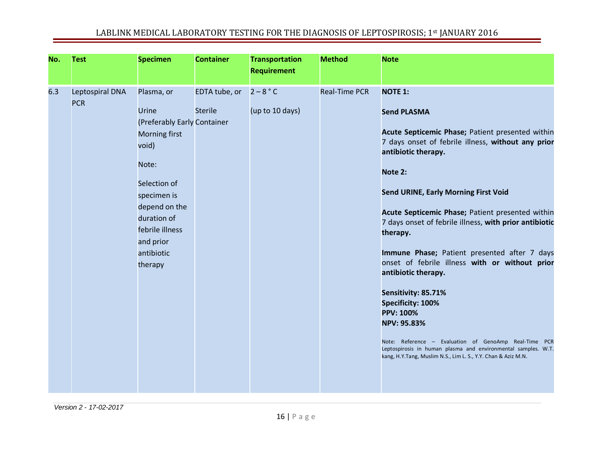| No. | <b>Test</b>                   | <b>Specimen</b>                                                                                                                                                                                               | <b>Container</b>                | <b>Transportation</b><br><b>Requirement</b> | <b>Method</b>        | <b>Note</b>                                                                                                                                                                                                                                                                                                                                                                                                                                                                                                                                                                                                                                                                                                                                                         |
|-----|-------------------------------|---------------------------------------------------------------------------------------------------------------------------------------------------------------------------------------------------------------|---------------------------------|---------------------------------------------|----------------------|---------------------------------------------------------------------------------------------------------------------------------------------------------------------------------------------------------------------------------------------------------------------------------------------------------------------------------------------------------------------------------------------------------------------------------------------------------------------------------------------------------------------------------------------------------------------------------------------------------------------------------------------------------------------------------------------------------------------------------------------------------------------|
| 6.3 | Leptospiral DNA<br><b>PCR</b> | Plasma, or<br>Urine<br>(Preferably Early Container<br>Morning first<br>void)<br>Note:<br>Selection of<br>specimen is<br>depend on the<br>duration of<br>febrile illness<br>and prior<br>antibiotic<br>therapy | EDTA tube, or<br><b>Sterile</b> | $2 - 8 °C$<br>(up to 10 days)               | <b>Real-Time PCR</b> | <b>NOTE 1:</b><br><b>Send PLASMA</b><br>Acute Septicemic Phase; Patient presented within<br>7 days onset of febrile illness, without any prior<br>antibiotic therapy.<br>Note 2:<br><b>Send URINE, Early Morning First Void</b><br>Acute Septicemic Phase; Patient presented within<br>7 days onset of febrile illness, with prior antibiotic<br>therapy.<br>Immune Phase; Patient presented after 7 days<br>onset of febrile illness with or without prior<br>antibiotic therapy.<br>Sensitivity: 85.71%<br>Specificity: 100%<br><b>PPV: 100%</b><br><b>NPV: 95.83%</b><br>Note: Reference - Evaluation of GenoAmp Real-Time PCR<br>Leptospirosis in human plasma and environmental samples. W.T.<br>kang, H.Y.Tang, Muslim N.S., Lim L. S., Y.Y. Chan & Aziz M.N. |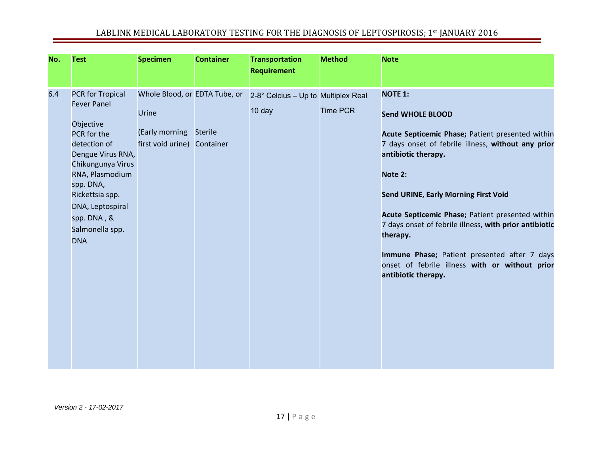| No. | <b>Test</b>                                                                                                                                                                                                                                                | <b>Specimen</b>                                                               | <b>Container</b>            | <b>Transportation</b><br><b>Requirement</b>   | <b>Method</b>   | <b>Note</b>                                                                                                                                                                                                                                                                                                                                                                                                                                                                             |
|-----|------------------------------------------------------------------------------------------------------------------------------------------------------------------------------------------------------------------------------------------------------------|-------------------------------------------------------------------------------|-----------------------------|-----------------------------------------------|-----------------|-----------------------------------------------------------------------------------------------------------------------------------------------------------------------------------------------------------------------------------------------------------------------------------------------------------------------------------------------------------------------------------------------------------------------------------------------------------------------------------------|
| 6.4 | <b>PCR for Tropical</b><br><b>Fever Panel</b><br>Objective<br>PCR for the<br>detection of<br>Dengue Virus RNA,<br>Chikungunya Virus<br>RNA, Plasmodium<br>spp. DNA,<br>Rickettsia spp.<br>DNA, Leptospiral<br>spp. DNA, &<br>Salmonella spp.<br><b>DNA</b> | Whole Blood, or EDTA Tube, or<br>Urine<br>(Early morning<br>first void urine) | <b>Sterile</b><br>Container | 2-8° Celcius - Up to Multiplex Real<br>10 day | <b>Time PCR</b> | <b>NOTE 1:</b><br><b>Send WHOLE BLOOD</b><br>Acute Septicemic Phase; Patient presented within<br>7 days onset of febrile illness, without any prior<br>antibiotic therapy.<br>Note 2:<br><b>Send URINE, Early Morning First Void</b><br>Acute Septicemic Phase; Patient presented within<br>7 days onset of febrile illness, with prior antibiotic<br>therapy.<br>Immune Phase; Patient presented after 7 days<br>onset of febrile illness with or without prior<br>antibiotic therapy. |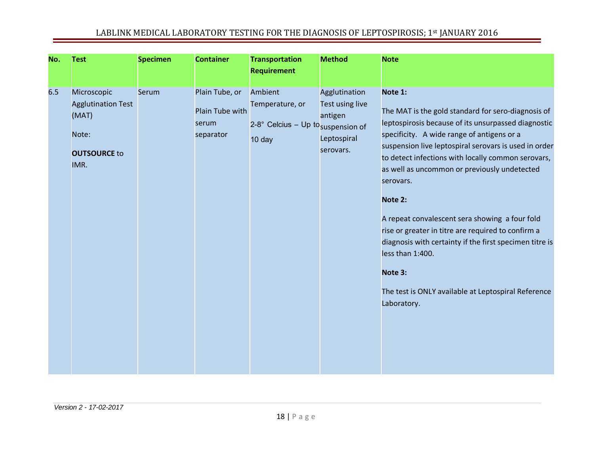| No. | <b>Test</b>                                                                               | <b>Specimen</b> | <b>Container</b>                                        | <b>Transportation</b><br><b>Requirement</b>                                           | <b>Method</b>                                                           | <b>Note</b>                                                                                                                                                                                                                                                                                                                                                                                                                                                                                                                                                                                                                       |
|-----|-------------------------------------------------------------------------------------------|-----------------|---------------------------------------------------------|---------------------------------------------------------------------------------------|-------------------------------------------------------------------------|-----------------------------------------------------------------------------------------------------------------------------------------------------------------------------------------------------------------------------------------------------------------------------------------------------------------------------------------------------------------------------------------------------------------------------------------------------------------------------------------------------------------------------------------------------------------------------------------------------------------------------------|
| 6.5 | Microscopic<br><b>Agglutination Test</b><br>(MAT)<br>Note:<br><b>OUTSOURCE to</b><br>IMR. | Serum           | Plain Tube, or<br>Plain Tube with<br>serum<br>separator | Ambient<br>Temperature, or<br>2-8° Celcius - Up to <sub>suspension of</sub><br>10 day | Agglutination<br>Test using live<br>antigen<br>Leptospiral<br>serovars. | Note 1:<br>The MAT is the gold standard for sero-diagnosis of<br>leptospirosis because of its unsurpassed diagnostic<br>specificity. A wide range of antigens or a<br>suspension live leptospiral serovars is used in order<br>to detect infections with locally common serovars,<br>as well as uncommon or previously undetected<br>serovars.<br>Note 2:<br>A repeat convalescent sera showing a four fold<br>rise or greater in titre are required to confirm a<br>diagnosis with certainty if the first specimen titre is<br>less than 1:400.<br>Note 3:<br>The test is ONLY available at Leptospiral Reference<br>Laboratory. |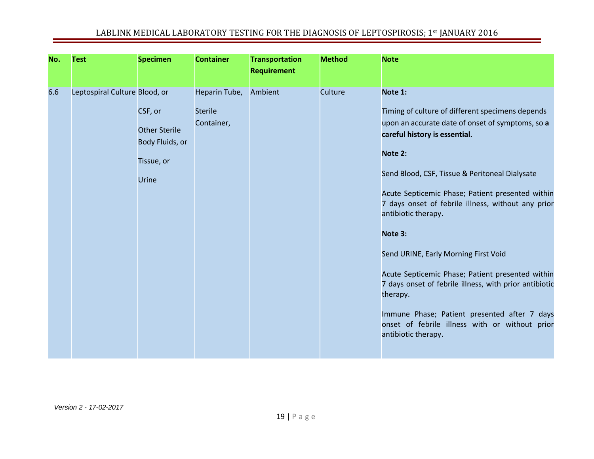| No. | <b>Test</b>                   | <b>Specimen</b>                                                           | <b>Container</b>                              | <b>Transportation</b><br><b>Requirement</b> | <b>Method</b> | <b>Note</b>                                                                                                                                                                                                                                                                                                                                                                                                                                                                                                                                                                                                                                          |
|-----|-------------------------------|---------------------------------------------------------------------------|-----------------------------------------------|---------------------------------------------|---------------|------------------------------------------------------------------------------------------------------------------------------------------------------------------------------------------------------------------------------------------------------------------------------------------------------------------------------------------------------------------------------------------------------------------------------------------------------------------------------------------------------------------------------------------------------------------------------------------------------------------------------------------------------|
| 6.6 | Leptospiral Culture Blood, or | CSF, or<br><b>Other Sterile</b><br>Body Fluids, or<br>Tissue, or<br>Urine | Heparin Tube,<br><b>Sterile</b><br>Container, | Ambient                                     | Culture       | Note 1:<br>Timing of culture of different specimens depends<br>upon an accurate date of onset of symptoms, so a<br>careful history is essential.<br>Note 2:<br>Send Blood, CSF, Tissue & Peritoneal Dialysate<br>Acute Septicemic Phase; Patient presented within<br>7 days onset of febrile illness, without any prior<br>antibiotic therapy.<br>Note 3:<br>Send URINE, Early Morning First Void<br>Acute Septicemic Phase; Patient presented within<br>7 days onset of febrile illness, with prior antibiotic<br>therapy.<br>Immune Phase; Patient presented after 7 days<br>onset of febrile illness with or without prior<br>antibiotic therapy. |